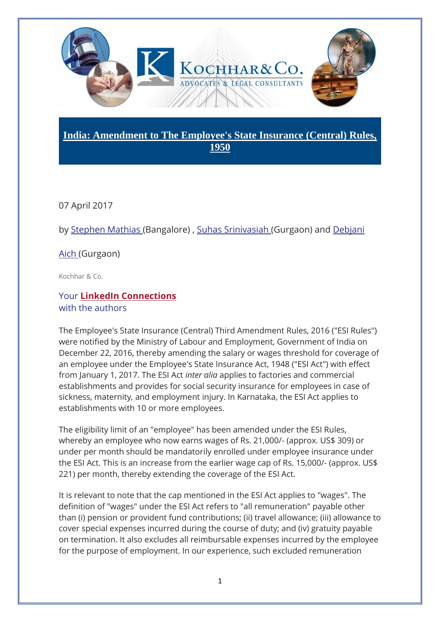

## **India: Amendment to The Employee's State Insurance (Central) Rules, 1950**

07 April 2017

by [Stephen Mathias](https://www.mondaq.com/Home/Redirect/1475736?mode=author&article_id=583812) (Bangalore) , [Suhas Srinivasiah](https://www.mondaq.com/Home/Redirect/1506166?mode=author&article_id=583812) (Gurgaon) and [Debjani](https://www.mondaq.com/Home/Redirect/1455516?mode=author&article_id=583812) 

## [Aich](https://www.mondaq.com/Home/Redirect/1455516?mode=author&article_id=583812) (Gurgaon)

Kochhar & Co.

## Your **[LinkedIn Connections](https://www.mondaq.com/Home/LinkedinReferal/9997?lcompany=356904&author_id=1475736&article_id=583812)** with the authors

The Employee's State Insurance (Central) Third Amendment Rules, 2016 ("ESI Rules") were notified by the Ministry of Labour and Employment, Government of India on December 22, 2016, thereby amending the salary or wages threshold for coverage of an employee under the Employee's State Insurance Act, 1948 ("ESI Act") with effect from January 1, 2017. The ESI Act *inter alia* applies to factories and commercial establishments and provides for social security insurance for employees in case of sickness, maternity, and employment injury. In Karnataka, the ESI Act applies to establishments with 10 or more employees.

The eligibility limit of an "employee" has been amended under the ESI Rules, whereby an employee who now earns wages of Rs. 21,000/- (approx. US\$ 309) or under per month should be mandatorily enrolled under employee insurance under the ESI Act. This is an increase from the earlier wage cap of Rs. 15,000/- (approx. US\$ 221) per month, thereby extending the coverage of the ESI Act.

It is relevant to note that the cap mentioned in the ESI Act applies to "wages". The definition of "wages" under the ESI Act refers to "all remuneration" payable other than (i) pension or provident fund contributions; (ii) travel allowance; (iii) allowance to cover special expenses incurred during the course of duty; and (iv) gratuity payable on termination. It also excludes all reimbursable expenses incurred by the employee for the purpose of employment. In our experience, such excluded remuneration